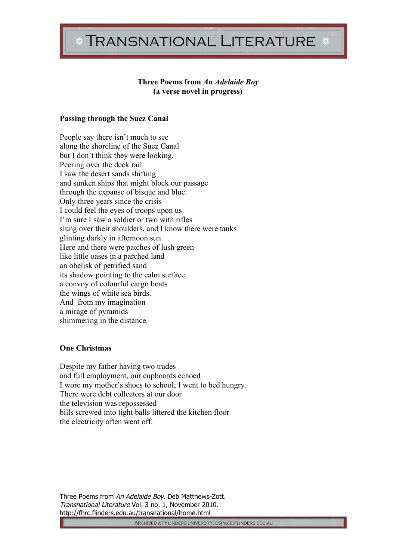# **TRANSNATIONAL LITERATURE**

# **Three Poems from** *An Adelaide Boy* **(a verse novel in progress)**

# **Passing through the Suez Canal**

People say there isn't much to see along the shoreline of the Suez Canal but I don't think they were looking. Peering over the deck rail I saw the desert sands shifting and sunken ships that might block our passage through the expanse of bisque and blue. Only three years since the crisis I could feel the eyes of troops upon us I'm sure I saw a soldier or two with rifles slung over their shoulders, and I know there were tanks glinting darkly in afternoon sun. Here and there were patches of lush green like little oases in a parched land an obelisk of petrified sand its shadow pointing to the calm surface a convoy of colourful cargo boats the wings of white sea birds. And from my imagination a mirage of pyramids shimmering in the distance.

## **One Christmas**

Despite my father having two trades and full employment, our cupboards echoed I wore my mother's shoes to school; I went to bed hungry. There were debt collectors at our door the television was repossessed bills screwed into tight balls littered the kitchen floor the electricity often went off.

Three Poems from An Adelaide Boy. Deb Matthews-Zott. Transnational Literature Vol. 3 no. 1, November 2010. http://fhrc.flinders.edu.au/transnational/home.html

ARCHIVED AT FLINDERS UNIVERSITY. DSPACE.FLINDERS.EDU.AU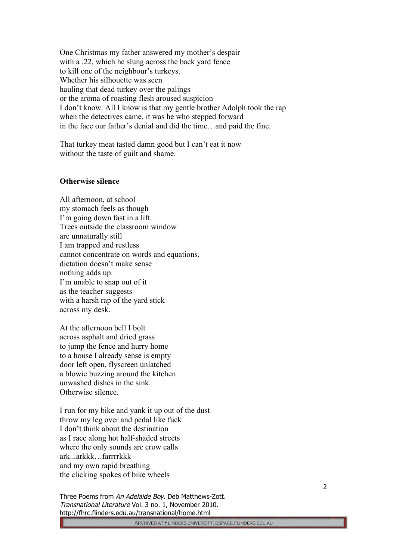One Christmas my father answered my mother's despair with a .22, which he slung across the back yard fence to kill one of the neighbour's turkeys. Whether his silhouette was seen hauling that dead turkey over the palings or the aroma of roasting flesh aroused suspicion I don't know. All I know is that my gentle brother Adolph took the rap when the detectives came, it was he who stepped forward in the face our father's denial and did the time…and paid the fine.

That turkey meat tasted damn good but I can't eat it now without the taste of guilt and shame.

### **Otherwise silence**

All afternoon, at school my stomach feels as though I'm going down fast in a lift. Trees outside the classroom window are unnaturally still I am trapped and restless cannot concentrate on words and equations, dictation doesn't make sense nothing adds up. I'm unable to snap out of it as the teacher suggests with a harsh rap of the yard stick across my desk.

At the afternoon bell I bolt across asphalt and dried grass to jump the fence and hurry home to a house I already sense is empty door left open, flyscreen unlatched a blowie buzzing around the kitchen unwashed dishes in the sink. Otherwise silence.

I run for my bike and yank it up out of the dust throw my leg over and pedal like fuck I don't think about the destination as I race along hot half-shaded streets where the only sounds are crow calls ark...arkkk…farrrrkkk and my own rapid breathing the clicking spokes of bike wheels

Three Poems from An Adelaide Boy. Deb Matthews-Zott. Transnational Literature Vol. 3 no. 1, November 2010. http://fhrc.flinders.edu.au/transnational/home.html

2